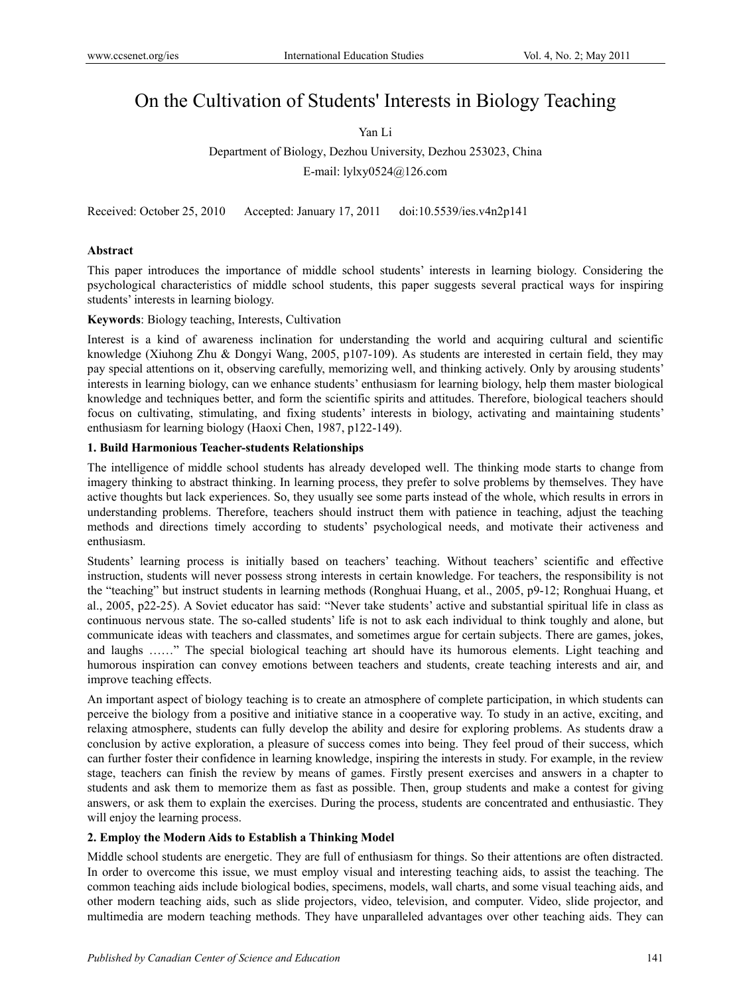# On the Cultivation of Students' Interests in Biology Teaching

Yan Li

Department of Biology, Dezhou University, Dezhou 253023, China E-mail: lylxy0524@126.com

Received: October 25, 2010 Accepted: January 17, 2011 doi:10.5539/ies.v4n2p141

## **Abstract**

This paper introduces the importance of middle school students' interests in learning biology. Considering the psychological characteristics of middle school students, this paper suggests several practical ways for inspiring students' interests in learning biology.

**Keywords**: Biology teaching, Interests, Cultivation

Interest is a kind of awareness inclination for understanding the world and acquiring cultural and scientific knowledge (Xiuhong Zhu & Dongyi Wang, 2005, p107-109). As students are interested in certain field, they may pay special attentions on it, observing carefully, memorizing well, and thinking actively. Only by arousing students' interests in learning biology, can we enhance students' enthusiasm for learning biology, help them master biological knowledge and techniques better, and form the scientific spirits and attitudes. Therefore, biological teachers should focus on cultivating, stimulating, and fixing students' interests in biology, activating and maintaining students' enthusiasm for learning biology (Haoxi Chen, 1987, p122-149).

## **1. Build Harmonious Teacher-students Relationships**

The intelligence of middle school students has already developed well. The thinking mode starts to change from imagery thinking to abstract thinking. In learning process, they prefer to solve problems by themselves. They have active thoughts but lack experiences. So, they usually see some parts instead of the whole, which results in errors in understanding problems. Therefore, teachers should instruct them with patience in teaching, adjust the teaching methods and directions timely according to students' psychological needs, and motivate their activeness and enthusiasm.

Students' learning process is initially based on teachers' teaching. Without teachers' scientific and effective instruction, students will never possess strong interests in certain knowledge. For teachers, the responsibility is not the "teaching" but instruct students in learning methods (Ronghuai Huang, et al., 2005, p9-12; Ronghuai Huang, et al., 2005, p22-25). A Soviet educator has said: "Never take students' active and substantial spiritual life in class as continuous nervous state. The so-called students' life is not to ask each individual to think toughly and alone, but communicate ideas with teachers and classmates, and sometimes argue for certain subjects. There are games, jokes, and laughs ……" The special biological teaching art should have its humorous elements. Light teaching and humorous inspiration can convey emotions between teachers and students, create teaching interests and air, and improve teaching effects.

An important aspect of biology teaching is to create an atmosphere of complete participation, in which students can perceive the biology from a positive and initiative stance in a cooperative way. To study in an active, exciting, and relaxing atmosphere, students can fully develop the ability and desire for exploring problems. As students draw a conclusion by active exploration, a pleasure of success comes into being. They feel proud of their success, which can further foster their confidence in learning knowledge, inspiring the interests in study. For example, in the review stage, teachers can finish the review by means of games. Firstly present exercises and answers in a chapter to students and ask them to memorize them as fast as possible. Then, group students and make a contest for giving answers, or ask them to explain the exercises. During the process, students are concentrated and enthusiastic. They will enjoy the learning process.

## **2. Employ the Modern Aids to Establish a Thinking Model**

Middle school students are energetic. They are full of enthusiasm for things. So their attentions are often distracted. In order to overcome this issue, we must employ visual and interesting teaching aids, to assist the teaching. The common teaching aids include biological bodies, specimens, models, wall charts, and some visual teaching aids, and other modern teaching aids, such as slide projectors, video, television, and computer. Video, slide projector, and multimedia are modern teaching methods. They have unparalleled advantages over other teaching aids. They can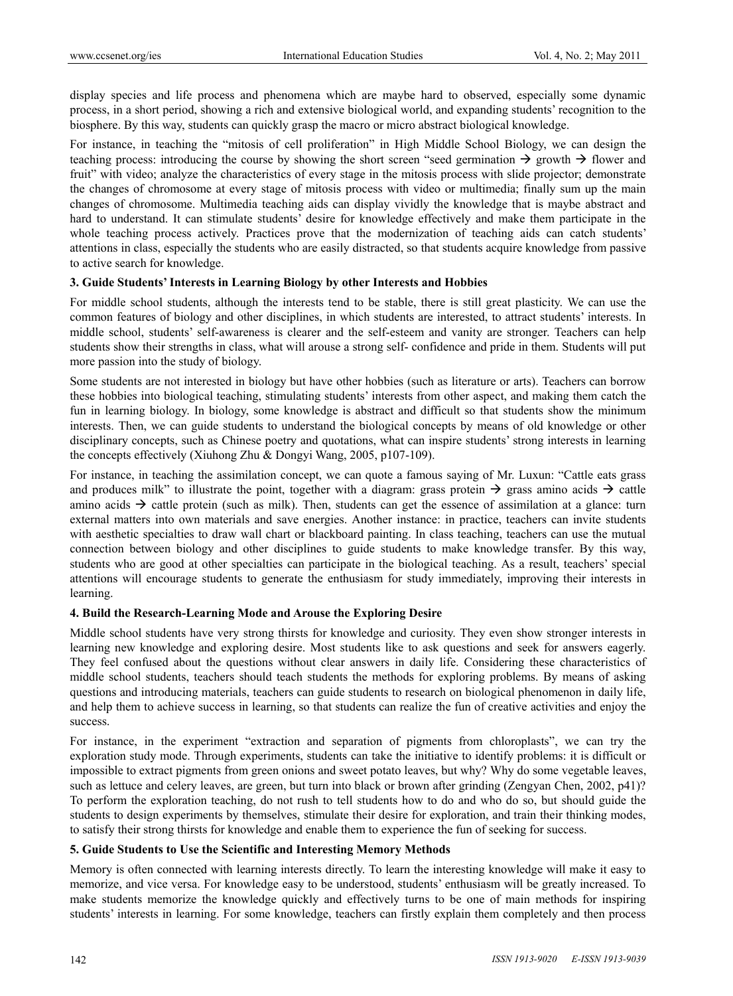display species and life process and phenomena which are maybe hard to observed, especially some dynamic process, in a short period, showing a rich and extensive biological world, and expanding students' recognition to the biosphere. By this way, students can quickly grasp the macro or micro abstract biological knowledge.

For instance, in teaching the "mitosis of cell proliferation" in High Middle School Biology, we can design the teaching process: introducing the course by showing the short screen "seed germination  $\rightarrow$  growth  $\rightarrow$  flower and fruit" with video; analyze the characteristics of every stage in the mitosis process with slide projector; demonstrate the changes of chromosome at every stage of mitosis process with video or multimedia; finally sum up the main changes of chromosome. Multimedia teaching aids can display vividly the knowledge that is maybe abstract and hard to understand. It can stimulate students' desire for knowledge effectively and make them participate in the whole teaching process actively. Practices prove that the modernization of teaching aids can catch students' attentions in class, especially the students who are easily distracted, so that students acquire knowledge from passive to active search for knowledge.

## **3. Guide Students' Interests in Learning Biology by other Interests and Hobbies**

For middle school students, although the interests tend to be stable, there is still great plasticity. We can use the common features of biology and other disciplines, in which students are interested, to attract students' interests. In middle school, students' self-awareness is clearer and the self-esteem and vanity are stronger. Teachers can help students show their strengths in class, what will arouse a strong self- confidence and pride in them. Students will put more passion into the study of biology.

Some students are not interested in biology but have other hobbies (such as literature or arts). Teachers can borrow these hobbies into biological teaching, stimulating students' interests from other aspect, and making them catch the fun in learning biology. In biology, some knowledge is abstract and difficult so that students show the minimum interests. Then, we can guide students to understand the biological concepts by means of old knowledge or other disciplinary concepts, such as Chinese poetry and quotations, what can inspire students' strong interests in learning the concepts effectively (Xiuhong Zhu & Dongyi Wang, 2005, p107-109).

For instance, in teaching the assimilation concept, we can quote a famous saying of Mr. Luxun: "Cattle eats grass and produces milk" to illustrate the point, together with a diagram: grass protein  $\rightarrow$  grass amino acids  $\rightarrow$  cattle amino acids  $\rightarrow$  cattle protein (such as milk). Then, students can get the essence of assimilation at a glance: turn external matters into own materials and save energies. Another instance: in practice, teachers can invite students with aesthetic specialties to draw wall chart or blackboard painting. In class teaching, teachers can use the mutual connection between biology and other disciplines to guide students to make knowledge transfer. By this way, students who are good at other specialties can participate in the biological teaching. As a result, teachers' special attentions will encourage students to generate the enthusiasm for study immediately, improving their interests in learning.

## **4. Build the Research-Learning Mode and Arouse the Exploring Desire**

Middle school students have very strong thirsts for knowledge and curiosity. They even show stronger interests in learning new knowledge and exploring desire. Most students like to ask questions and seek for answers eagerly. They feel confused about the questions without clear answers in daily life. Considering these characteristics of middle school students, teachers should teach students the methods for exploring problems. By means of asking questions and introducing materials, teachers can guide students to research on biological phenomenon in daily life, and help them to achieve success in learning, so that students can realize the fun of creative activities and enjoy the success.

For instance, in the experiment "extraction and separation of pigments from chloroplasts", we can try the exploration study mode. Through experiments, students can take the initiative to identify problems: it is difficult or impossible to extract pigments from green onions and sweet potato leaves, but why? Why do some vegetable leaves, such as lettuce and celery leaves, are green, but turn into black or brown after grinding (Zengyan Chen, 2002, p41)? To perform the exploration teaching, do not rush to tell students how to do and who do so, but should guide the students to design experiments by themselves, stimulate their desire for exploration, and train their thinking modes, to satisfy their strong thirsts for knowledge and enable them to experience the fun of seeking for success.

#### **5. Guide Students to Use the Scientific and Interesting Memory Methods**

Memory is often connected with learning interests directly. To learn the interesting knowledge will make it easy to memorize, and vice versa. For knowledge easy to be understood, students' enthusiasm will be greatly increased. To make students memorize the knowledge quickly and effectively turns to be one of main methods for inspiring students' interests in learning. For some knowledge, teachers can firstly explain them completely and then process